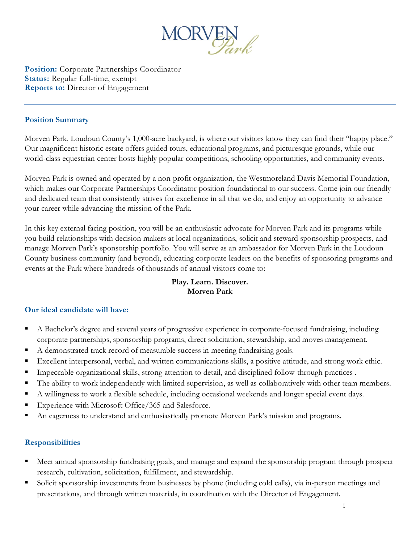

**Position:** Corporate Partnerships Coordinator **Status:** Regular full-time, exempt **Reports to:** Director of Engagement

#### **Position Summary**

Morven Park, Loudoun County's 1,000-acre backyard, is where our visitors know they can find their "happy place." Our magnificent historic estate offers guided tours, educational programs, and picturesque grounds, while our world-class equestrian center hosts highly popular competitions, schooling opportunities, and community events.

Morven Park is owned and operated by a non-profit organization, the Westmoreland Davis Memorial Foundation, which makes our Corporate Partnerships Coordinator position foundational to our success. Come join our friendly and dedicated team that consistently strives for excellence in all that we do, and enjoy an opportunity to advance your career while advancing the mission of the Park.

In this key external facing position, you will be an enthusiastic advocate for Morven Park and its programs while you build relationships with decision makers at local organizations, solicit and steward sponsorship prospects, and manage Morven Park's sponsorship portfolio. You will serve as an ambassador for Morven Park in the Loudoun County business community (and beyond), educating corporate leaders on the benefits of sponsoring programs and events at the Park where hundreds of thousands of annual visitors come to:

## **Play. Learn. Discover. Morven Park**

### **Our ideal candidate will have:**

- A Bachelor's degree and several years of progressive experience in corporate-focused fundraising, including corporate partnerships, sponsorship programs, direct solicitation, stewardship, and moves management.
- A demonstrated track record of measurable success in meeting fundraising goals.
- Excellent interpersonal, verbal, and written communications skills, a positive attitude, and strong work ethic.
- Impeccable organizational skills, strong attention to detail, and disciplined follow-through practices .
- The ability to work independently with limited supervision, as well as collaboratively with other team members.
- A willingness to work a flexible schedule, including occasional weekends and longer special event days.
- Experience with Microsoft Office/365 and Salesforce.
- An eagerness to understand and enthusiastically promote Morven Park's mission and programs.

### **Responsibilities**

- Meet annual sponsorship fundraising goals, and manage and expand the sponsorship program through prospect research, cultivation, solicitation, fulfillment, and stewardship.
- Solicit sponsorship investments from businesses by phone (including cold calls), via in-person meetings and presentations, and through written materials, in coordination with the Director of Engagement.